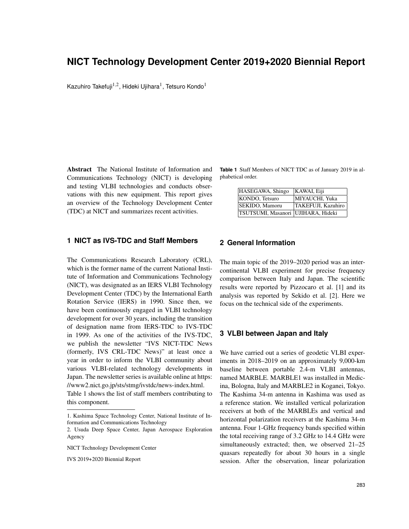# **NICT Technology Development Center 2019+2020 Biennial Report**

Kazuhiro Takefuji $^{1,2}$ , Hideki Ujihara $^1$ , Tetsuro Kondo $^1$ 

Abstract The National Institute of Information and Communications Technology (NICT) is developing and testing VLBI technologies and conducts observations with this new equipment. This report gives an overview of the Technology Development Center (TDC) at NICT and summarizes recent activities.

#### **1 NICT as IVS-TDC and Staff Members**

The Communications Research Laboratory (CRL), which is the former name of the current National Institute of Information and Communications Technology (NICT), was designated as an IERS VLBI Technology Development Center (TDC) by the International Earth Rotation Service (IERS) in 1990. Since then, we have been continuously engaged in VLBI technology development for over 30 years, including the transition of designation name from IERS-TDC to IVS-TDC in 1999. As one of the activities of the IVS-TDC, we publish the newsletter "IVS NICT-TDC News (formerly, IVS CRL-TDC News)" at least once a year in order to inform the VLBI community about various VLBI-related technology developments in Japan. The newsletter series is available online at https: //www2.nict.go.jp/sts/stmg/ivstdc/news-index.html. Table 1 shows the list of staff members contributing to this component.

**Table 1** Staff Members of NICT TDC as of January 2019 in alphabetical order.

| HASEGAWA, Shingo                     | KAWAI, Eiji        |
|--------------------------------------|--------------------|
| KONDO, Tetsuro                       | MIYAUCHI, Yuka     |
| SEKIDO, Mamoru                       | TAKEFUJI, Kazuhiro |
| TSUTSUMI, Masanori   UJIHARA, Hideki |                    |

## **2 General Information**

The main topic of the 2019–2020 period was an intercontinental VLBI experiment for precise frequency comparison between Italy and Japan. The scientific results were reported by Pizzocaro et al. [1] and its analysis was reported by Sekido et al. [2]. Here we focus on the technical side of the experiments.

#### **3 VLBI between Japan and Italy**

We have carried out a series of geodetic VLBI experiments in 2018–2019 on an approximately 9,000-km baseline between portable 2.4-m VLBI antennas, named MARBLE. MARBLE1 was installed in Medicina, Bologna, Italy and MARBLE2 in Koganei, Tokyo. The Kashima 34-m antenna in Kashima was used as a reference station. We installed vertical polarization receivers at both of the MARBLEs and vertical and horizontal polarization receivers at the Kashima 34-m antenna. Four 1-GHz frequency bands specified within the total receiving range of 3.2 GHz to 14.4 GHz were simultaneously extracted; then, we observed 21–25 quasars repeatedly for about 30 hours in a single session. After the observation, linear polarization

<sup>1.</sup> Kashima Space Technology Center, National Institute of Information and Communications Technology

<sup>2.</sup> Usuda Deep Space Center, Japan Aerospace Exploration Agency

NICT Technology Development Center

IVS 2019+2020 Biennial Report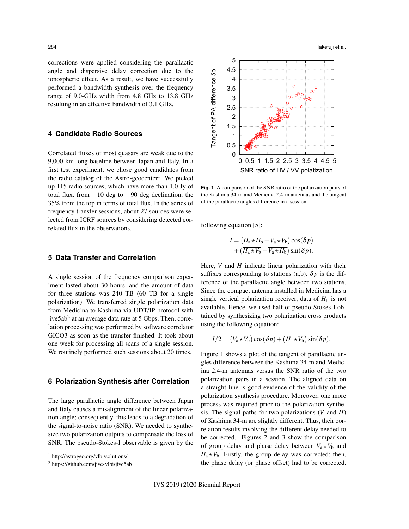corrections were applied considering the parallactic angle and dispersive delay correction due to the ionospheric effect. As a result, we have successfully performed a bandwidth synthesis over the frequency range of 9.0-GHz width from 4.8 GHz to 13.8 GHz resulting in an effective bandwidth of 3.1 GHz.

### **4 Candidate Radio Sources**

Correlated fluxes of most quasars are weak due to the 9,000-km long baseline between Japan and Italy. In a first test experiment, we chose good candidates from the radio catalog of the Astro-geocenter<sup>1</sup>. We picked up 115 radio sources, which have more than 1.0 Jy of total flux, from  $-10$  deg to  $+90$  deg declination, the 35% from the top in terms of total flux. In the series of frequency transfer sessions, about 27 sources were selected from ICRF sources by considering detected correlated flux in the observations.

#### **5 Data Transfer and Correlation**

A single session of the frequency comparison experiment lasted about 30 hours, and the amount of data for three stations was 240 TB (60 TB for a single polarization). We transferred single polarization data from Medicina to Kashima via UDT/IP protocol with jive5ab $^2$  at an average data rate at 5 Gbps. Then, correlation processing was performed by software correlator GICO3 as soon as the transfer finished. It took about one week for processing all scans of a single session. We routinely performed such sessions about 20 times.

#### **6 Polarization Synthesis after Correlation**

The large parallactic angle difference between Japan and Italy causes a misalignment of the linear polarization angle; consequently, this leads to a degradation of the signal-to-noise ratio (SNR). We needed to synthesize two polarization outputs to compensate the loss of SNR. The pseudo-Stokes-I observable is given by the



<sup>2</sup> https://github.com/jive-vlbi/jive5ab



**Fig. 1** A comparison of the SNR ratio of the polarization pairs of the Kashima 34-m and Medicina 2.4-m antennas and the tangent of the parallactic angles difference in a session.

following equation [5]:

$$
I = (\overline{H_a \star H_b} + \overline{V_a \star V_b}) \cos(\delta p)
$$
  
+ (\overline{H\_a \star V\_b} - \overline{V\_a \star H\_b}) \sin(\delta p).

Here, *V* and *H* indicate linear polarization with their suffixes corresponding to stations (a,b).  $\delta p$  is the difference of the parallactic angle between two stations. Since the compact antenna installed in Medicina has a single vertical polarization receiver, data of  $H<sub>b</sub>$  is not available. Hence, we used half of pseudo-Stokes-I obtained by synthesizing two polarization cross products using the following equation:

$$
I/2 = (\overline{V_a \star V_b}) \cos(\delta p) + (\overline{H_a \star V_b}) \sin(\delta p).
$$

Figure 1 shows a plot of the tangent of parallactic angles difference between the Kashima 34-m and Medicina 2.4-m antennas versus the SNR ratio of the two polarization pairs in a session. The aligned data on a straight line is good evidence of the validity of the polarization synthesis procedure. Moreover, one more process was required prior to the polarization synthesis. The signal paths for two polarizations (*V* and *H*) of Kashima 34-m are slightly different. Thus, their correlation results involving the different delay needed to be corrected. Figures 2 and 3 show the comparison of group delay and phase delay between  $\overline{V_a \star V_b}$  and  $\overline{H_a \star V_b}$ . Firstly, the group delay was corrected; then, the phase delay (or phase offset) had to be corrected.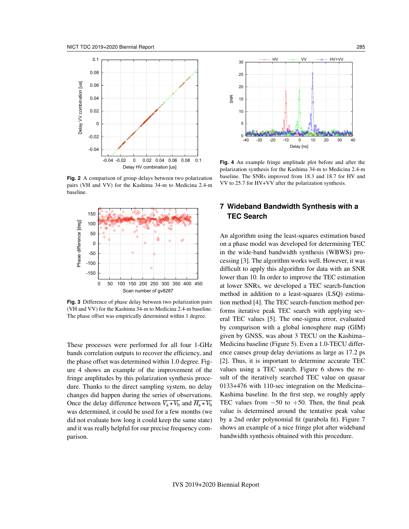

**Fig. 2** A comparison of group delays between two polarization pairs (VH and VV) for the Kashima 34-m to Medicina 2.4-m baseline.



**Fig. 3** Difference of phase delay between two polarization pairs (VH and VV) for the Kashima 34-m to Medicina 2.4-m baseline. The phase offset was empirically determined within 1 degree.

These processes were performed for all four 1-GHz bands correlation outputs to recover the efficiency, and the phase offset was determined within 1.0 degree. Figure 4 shows an example of the improvement of the fringe amplitudes by this polarization synthesis procedure. Thanks to the direct sampling system, no delay changes did happen during the series of observations. Once the delay difference between  $\overline{V_a \star V_b}$  and  $\overline{H_a \star V_b}$ was determined, it could be used for a few months (we did not evaluate how long it could keep the same state) and it was really helpful for our precise frequency comparison.



**Fig. 4** An example fringe amplitude plot before and after the polarization synthesis for the Kashima 34-m to Medicina 2.4-m baseline. The SNRs improved from 18.3 and 18.7 for HV and VV to 25.7 for HV+VV after the polarization synthesis.

## **7 Wideband Bandwidth Synthesis with a TEC Search**

An algorithm using the least-squares estimation based on a phase model was developed for determining TEC in the wide-band bandwidth synthesis (WBWS) processing [3]. The algorithm works well. However, it was difficult to apply this algorithm for data with an SNR lower than 10. In order to improve the TEC estimation at lower SNRs, we developed a TEC search-function method in addition to a least-squares (LSQ) estimation method [4]. The TEC search-function method performs iterative peak TEC search with applying several TEC values [5]. The one-sigma error, evaluated by comparison with a global ionosphere map (GIM) given by GNSS, was about 3 TECU on the Kashima– Medicina baseline (Figure 5). Even a 1.0-TECU difference causes group delay deviations as large as 17.2 ps [2]. Thus, it is important to determine accurate TEC values using a TEC search. Figure 6 shows the result of the iteratively searched TEC value on quasar 0133+476 with 110-sec integration on the Medicina– Kashima baseline. In the first step, we roughly apply TEC values from  $-50$  to  $+50$ . Then, the final peak value is determined around the tentative peak value by a 2nd order polynomial fit (parabola fit). Figure 7 shows an example of a nice fringe plot after wideband bandwidth synthesis obtained with this procedure.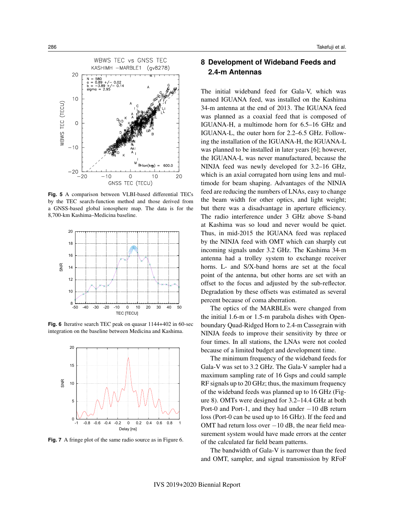

**Fig. 5** A comparison between VLBI-based differential TECs by the TEC search-function method and those derived from a GNSS-based global ionosphere map. The data is for the 8,700-km Kashima–Medicina baseline.



**Fig. 6** Iterative search TEC peak on quasar 1144+402 in 60-sec integration on the baseline between Medicina and Kashima.



**Fig. 7** A fringe plot of the same radio source as in Figure 6.

## **8 Development of Wideband Feeds and 2.4-m Antennas**

The initial wideband feed for Gala-V, which was named IGUANA feed, was installed on the Kashima 34-m antenna at the end of 2013. The IGUANA feed was planned as a coaxial feed that is composed of IGUANA-H, a multimode horn for 6.5–16 GHz and IGUANA-L, the outer horn for 2.2–6.5 GHz. Following the installation of the IGUANA-H, the IGUANA-L was planned to be installed in later years [6]; however, the IGUANA-L was never manufactured, because the NINJA feed was newly developed for 3.2–16 GHz, which is an axial corrugated horn using lens and multimode for beam shaping. Advantages of the NINJA feed are reducing the numbers of LNAs, easy to change the beam width for other optics, and light weight; but there was a disadvantage in aperture efficiency. The radio interference under 3 GHz above S-band at Kashima was so loud and never would be quiet. Thus, in mid-2015 the IGUANA feed was replaced by the NINJA feed with OMT which can sharply cut incoming signals under 3.2 GHz. The Kashima 34-m antenna had a trolley system to exchange receiver horns. L- and S/X-band horns are set at the focal point of the antenna, but other horns are set with an offset to the focus and adjusted by the sub-reflector. Degradation by these offsets was estimated as several percent because of coma aberration.

The optics of the MARBLEs were changed from the initial 1.6-m or 1.5-m parabola dishes with Openboundary Quad-Ridged Horn to 2.4-m Cassegrain with NINJA feeds to improve their sensitivity by three or four times. In all stations, the LNAs were not cooled because of a limited budget and development time.

The minimum frequency of the wideband feeds for Gala-V was set to 3.2 GHz. The Gala-V sampler had a maximum sampling rate of 16 Gsps and could sample RF signals up to 20 GHz; thus, the maximum frequency of the wideband feeds was planned up to 16 GHz (Figure 8). OMTs were designed for 3.2–14.4 GHz at both Port-0 and Port-1, and they had under −10 dB return loss (Port-0 can be used up to 16 GHz). If the feed and OMT had return loss over  $-10$  dB, the near field measurement system would have made errors at the center of the calculated far field beam patterns.

The bandwidth of Gala-V is narrower than the feed and OMT, sampler, and signal transmission by RFoF